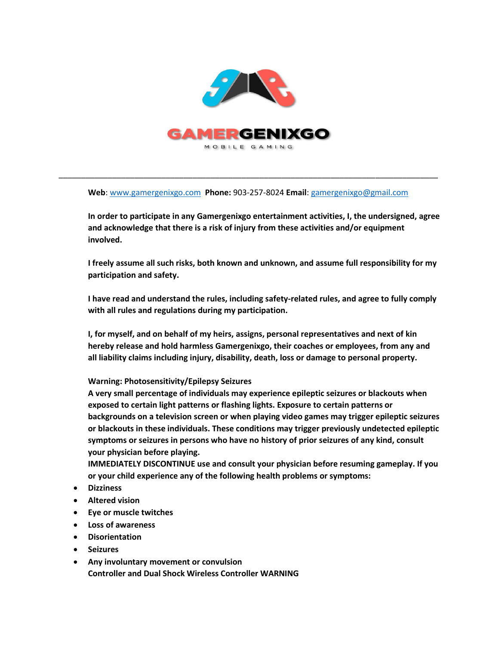

**Web**: [www.gamergenixgo.com](http://www.gamergenixgo.com/) **Phone:** 903-257-8024 **Email**[: gamergenixgo@gmail.com](mailto:gamergenixgo@gmail.com)

\_\_\_\_\_\_\_\_\_\_\_\_\_\_\_\_\_\_\_\_\_\_\_\_\_\_\_\_\_\_\_\_\_\_\_\_\_\_\_\_\_\_\_\_\_\_\_\_\_\_\_\_\_\_\_\_\_\_\_\_\_\_\_\_\_\_\_\_\_\_\_\_\_\_\_\_\_\_\_\_\_\_\_\_\_

**In order to participate in any Gamergenixgo entertainment activities, I, the undersigned, agree and acknowledge that there is a risk of injury from these activities and/or equipment involved.**

**I freely assume all such risks, both known and unknown, and assume full responsibility for my participation and safety.**

**I have read and understand the rules, including safety-related rules, and agree to fully comply with all rules and regulations during my participation.**

**I, for myself, and on behalf of my heirs, assigns, personal representatives and next of kin hereby release and hold harmless Gamergenixgo, their coaches or employees, from any and all liability claims including injury, disability, death, loss or damage to personal property.**

## **Warning: Photosensitivity/Epilepsy Seizures**

**A very small percentage of individuals may experience epileptic seizures or blackouts when exposed to certain light patterns or flashing lights. Exposure to certain patterns or backgrounds on a television screen or when playing video games may trigger epileptic seizures or blackouts in these individuals. These conditions may trigger previously undetected epileptic symptoms or seizures in persons who have no history of prior seizures of any kind, consult your physician before playing.** 

**IMMEDIATELY DISCONTINUE use and consult your physician before resuming gameplay. If you or your child experience any of the following health problems or symptoms:**

- **Dizziness**
- **Altered vision**
- **Eye or muscle twitches**
- **Loss of awareness**
- **Disorientation**
- **Seizures**
- **Any involuntary movement or convulsion Controller and Dual Shock Wireless Controller WARNING**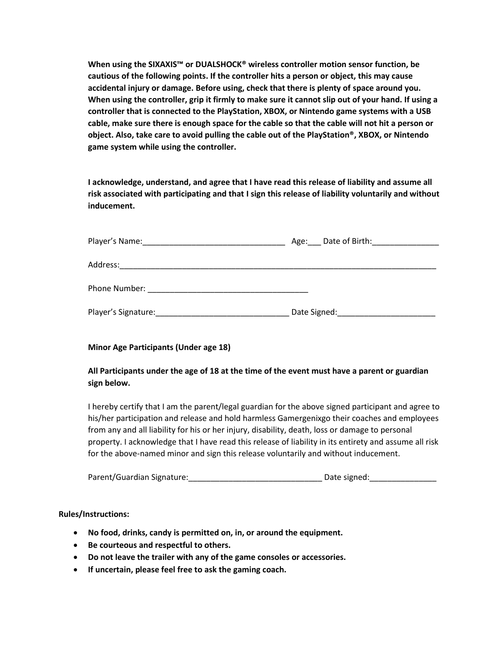**When using the SIXAXIS™ or DUALSHOCK® wireless controller motion sensor function, be cautious of the following points. If the controller hits a person or object, this may cause accidental injury or damage. Before using, check that there is plenty of space around you. When using the controller, grip it firmly to make sure it cannot slip out of your hand. If using a controller that is connected to the PlayStation, XBOX, or Nintendo game systems with a USB cable, make sure there is enough space for the cable so that the cable will not hit a person or object. Also, take care to avoid pulling the cable out of the PlayStation®, XBOX, or Nintendo game system while using the controller.**

**I acknowledge, understand, and agree that I have read this release of liability and assume all risk associated with participating and that I sign this release of liability voluntarily and without inducement.** 

| Age: Date of Birth: |
|---------------------|
|                     |
|                     |
|                     |
|                     |
|                     |
| Date Signed:        |
|                     |

## **Minor Age Participants (Under age 18)**

## **All Participants under the age of 18 at the time of the event must have a parent or guardian sign below.**

I hereby certify that I am the parent/legal guardian for the above signed participant and agree to his/her participation and release and hold harmless Gamergenixgo their coaches and employees from any and all liability for his or her injury, disability, death, loss or damage to personal property. I acknowledge that I have read this release of liability in its entirety and assume all risk for the above-named minor and sign this release voluntarily and without inducement.

| Parent/Guardian Signature: | Date signed: |
|----------------------------|--------------|
|----------------------------|--------------|

## **Rules/Instructions:**

- **No food, drinks, candy is permitted on, in, or around the equipment.**
- **Be courteous and respectful to others.**
- **Do not leave the trailer with any of the game consoles or accessories.**
- **If uncertain, please feel free to ask the gaming coach.**